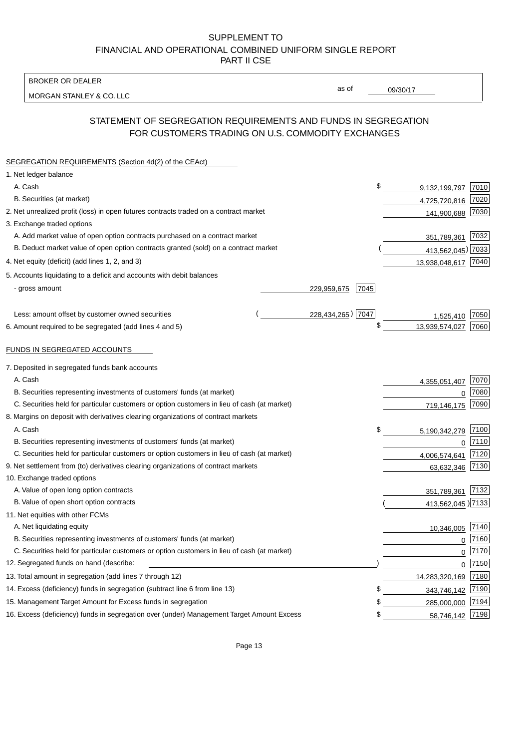BROKER OR DEALER

MORGAN STANLEY & CO. LLC

09/30/17

as of

# STATEMENT OF SEGREGATION REQUIREMENTS AND FUNDS IN SEGREGATION FOR CUSTOMERS TRADING ON U.S. COMMODITY EXCHANGES

| SEGREGATION REQUIREMENTS (Section 4d(2) of the CEAct)                                       |                     |                     |          |
|---------------------------------------------------------------------------------------------|---------------------|---------------------|----------|
| 1. Net ledger balance                                                                       |                     |                     |          |
| A. Cash                                                                                     | \$                  | 9,132,199,797       | 7010     |
| B. Securities (at market)                                                                   |                     | 4,725,720,816       | 7020     |
| 2. Net unrealized profit (loss) in open futures contracts traded on a contract market       |                     | 141,900,688         | 7030     |
| 3. Exchange traded options                                                                  |                     |                     |          |
| A. Add market value of open option contracts purchased on a contract market                 |                     | 351,789,361 7032    |          |
| B. Deduct market value of open option contracts granted (sold) on a contract market         |                     | 413,562,045) 7033   |          |
| 4. Net equity (deficit) (add lines 1, 2, and 3)                                             |                     | 13,938,048,617 7040 |          |
| 5. Accounts liquidating to a deficit and accounts with debit balances                       |                     |                     |          |
| - gross amount                                                                              | 229,959,675<br>7045 |                     |          |
|                                                                                             |                     |                     |          |
| Less: amount offset by customer owned securities                                            | 228,434,265) 7047   | 1,525,410           | 7050     |
| 6. Amount required to be segregated (add lines 4 and 5)                                     | \$                  | 13,939,574,027      | 7060     |
| FUNDS IN SEGREGATED ACCOUNTS                                                                |                     |                     |          |
| 7. Deposited in segregated funds bank accounts                                              |                     |                     |          |
| A. Cash                                                                                     |                     | 4,355,051,407       | 7070     |
| B. Securities representing investments of customers' funds (at market)                      |                     | 0                   | 7080     |
| C. Securities held for particular customers or option customers in lieu of cash (at market) |                     | 719,146,175         | 7090     |
| 8. Margins on deposit with derivatives clearing organizations of contract markets           |                     |                     |          |
| A. Cash                                                                                     | \$                  | 5,190,342,279       | 7100     |
| B. Securities representing investments of customers' funds (at market)                      |                     | 0                   | 7110     |
| C. Securities held for particular customers or option customers in lieu of cash (at market) |                     | 4,006,574,641       | 7120     |
| 9. Net settlement from (to) derivatives clearing organizations of contract markets          |                     | 63,632,346          | 7130     |
| 10. Exchange traded options                                                                 |                     |                     |          |
| A. Value of open long option contracts                                                      |                     | 351,789,361         | 7132     |
| B. Value of open short option contracts                                                     |                     | 413,562,045 7133    |          |
| 11. Net equities with other FCMs                                                            |                     |                     |          |
| A. Net liquidating equity                                                                   |                     | 10,346,005 7140     |          |
| B. Securities representing investments of customers' funds (at market)                      |                     | $\mathbf 0$         | $7160$   |
| C. Securities held for particular customers or option customers in lieu of cash (at market) |                     | $\mathbf 0$         | 7170     |
| 12. Segregated funds on hand (describe:                                                     |                     |                     | $0$ 7150 |
| 13. Total amount in segregation (add lines 7 through 12)                                    |                     | 14,283,320,169 7180 |          |
| 14. Excess (deficiency) funds in segregation (subtract line 6 from line 13)                 | S                   | 343,746,142         | 7190     |
| 15. Management Target Amount for Excess funds in segregation                                | \$                  | 285,000,000         | 7194     |
| 16. Excess (deficiency) funds in segregation over (under) Management Target Amount Excess   | \$                  | 58,746,142 7198     |          |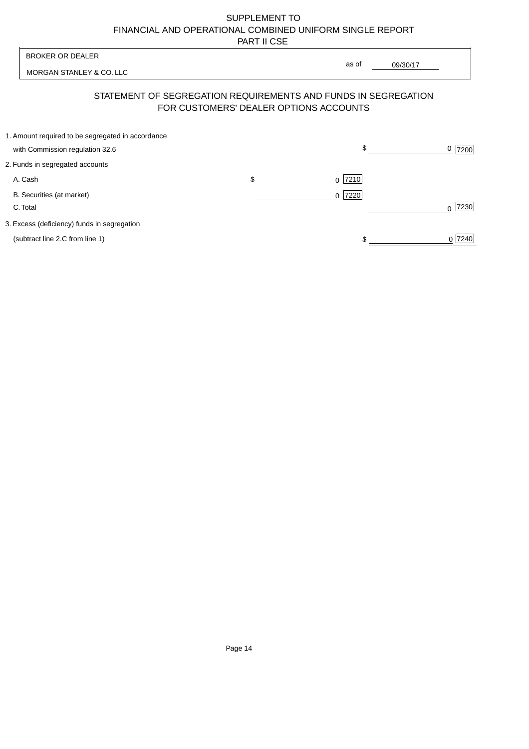| <b>BROKER OR DEALER</b>                                                              | as of                                                                                                    |                  |
|--------------------------------------------------------------------------------------|----------------------------------------------------------------------------------------------------------|------------------|
| MORGAN STANLEY & CO. LLC                                                             | 09/30/17                                                                                                 |                  |
|                                                                                      | STATEMENT OF SEGREGATION REQUIREMENTS AND FUNDS IN SEGREGATION<br>FOR CUSTOMERS' DEALER OPTIONS ACCOUNTS |                  |
| 1. Amount required to be segregated in accordance<br>with Commission regulation 32.6 | \$                                                                                                       | 0<br>7200        |
| 2. Funds in segregated accounts                                                      |                                                                                                          |                  |
| A. Cash                                                                              | \$<br>7210<br><sup>0</sup>                                                                               |                  |
| B. Securities (at market)<br>C. Total                                                | 0 7220                                                                                                   | 7230<br>$\Omega$ |
| 3. Excess (deficiency) funds in segregation                                          |                                                                                                          |                  |
| (subtract line 2.C from line 1)                                                      |                                                                                                          | 0 7240           |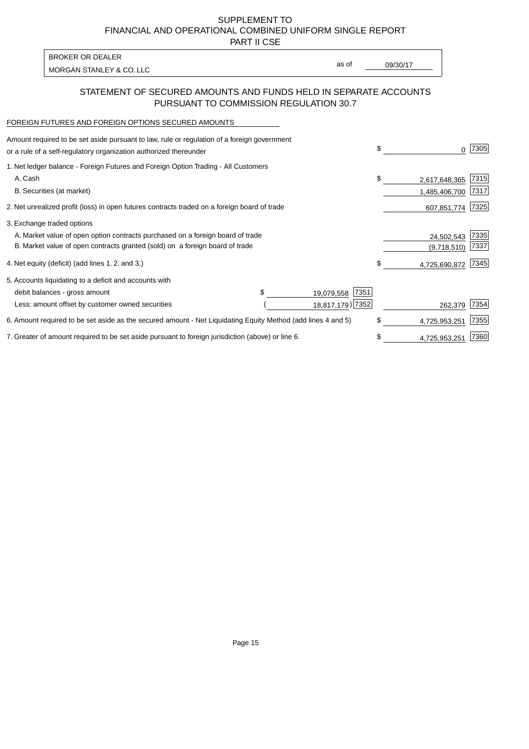PART II CSE

MORGAN STANLEY & CO. LLC and the contract of the contract of the contract of the contract of the contract of the contract of the contract of the contract of the contract of the contract of the contract of the contract of t BROKER OR DEALER

as of

### STATEMENT OF SECURED AMOUNTS AND FUNDS HELD IN SEPARATE ACCOUNTS PURSUANT TO COMMISSION REGULATION 30.7

#### FOREIGN FUTURES AND FOREIGN OPTIONS SECURED AMOUNTS

| Amount required to be set aside pursuant to law, rule or regulation of a foreign government<br>or a rule of a self-regulatory organization authorized thereunder |                    | \$<br>0             | 7305 |
|------------------------------------------------------------------------------------------------------------------------------------------------------------------|--------------------|---------------------|------|
| 1. Net ledger balance - Foreign Futures and Foreign Option Trading - All Customers                                                                               |                    |                     |      |
| A. Cash                                                                                                                                                          |                    | \$<br>2,617,648,365 | 7315 |
| B. Securities (at market)                                                                                                                                        |                    | 1,485,406,700       | 7317 |
| 2. Net unrealized profit (loss) in open futures contracts traded on a foreign board of trade                                                                     |                    | 607,851,774         | 7325 |
| 3. Exchange traded options                                                                                                                                       |                    |                     |      |
| A. Market value of open option contracts purchased on a foreign board of trade                                                                                   |                    | 24,502,543          | 7335 |
| B. Market value of open contracts granted (sold) on a foreign board of trade                                                                                     |                    | (9,718,510)         | 7337 |
| 4. Net equity (deficit) (add lines 1.2. and 3.)                                                                                                                  |                    | \$<br>4,725,690,872 | 7345 |
| 5. Accounts liquidating to a deficit and accounts with                                                                                                           |                    |                     |      |
| debit balances - gross amount                                                                                                                                    | 7351<br>19,079,558 |                     |      |
| Less: amount offset by customer owned securities                                                                                                                 | 18,817,179) 7352   | 262,379             | 7354 |
| 6. Amount required to be set aside as the secured amount - Net Liquidating Equity Method (add lines 4 and 5)                                                     |                    | \$<br>4,725,953,251 | 7355 |
| 7. Greater of amount required to be set aside pursuant to foreign jurisdiction (above) or line 6.                                                                |                    | \$<br>4,725,953,251 | 7360 |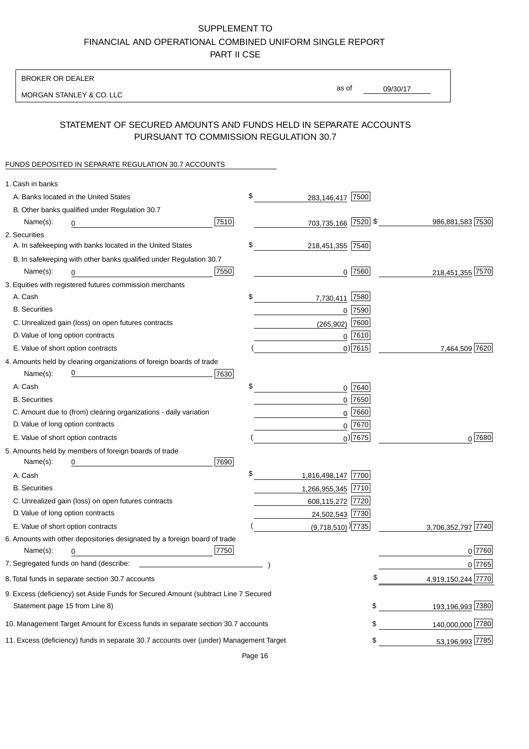BROKER OR DEALER

MORGAN STANLEY & CO. LLC

09/30/17 as of

### STATEMENT OF SECURED AMOUNTS AND FUNDS HELD IN SEPARATE ACCOUNTS PURSUANT TO COMMISSION REGULATION 30.7

#### FUNDS DEPOSITED IN SEPARATE REGULATION 30.7 ACCOUNTS

| 1. Cash in banks                  |                                                                                        |      |                                   |            |                    |
|-----------------------------------|----------------------------------------------------------------------------------------|------|-----------------------------------|------------|--------------------|
|                                   | A. Banks located in the United States                                                  |      | \$<br>283,146,417 7500            |            |                    |
|                                   | B. Other banks qualified under Regulation 30.7                                         |      |                                   |            |                    |
| Name(s):                          | 0                                                                                      | 7510 | 703,735,166 7520 \$               |            | 986,881,583 7530   |
| 2. Securities                     |                                                                                        |      |                                   |            |                    |
|                                   | A. In safekeeping with banks located in the United States                              |      | \$<br>218,451,355 7540            |            |                    |
|                                   | B. In safekeeping with other banks qualified under Regulation 30.7                     |      |                                   |            |                    |
| Name(s):                          | 0<br><u> 1980 - Johann Barn, mars ann an t-</u>                                        | 7550 |                                   | $0$  7560  | 218,451,355 7570   |
|                                   | 3. Equities with registered futures commission merchants                               |      |                                   |            |                    |
| A. Cash                           |                                                                                        |      | \$<br>7,730,411                   | 7580       |                    |
| <b>B.</b> Securities              |                                                                                        |      |                                   | $0$ 7590   |                    |
|                                   | C. Unrealized gain (loss) on open futures contracts                                    |      | (265, 902)                        | 7600       |                    |
| D. Value of long option contracts |                                                                                        |      |                                   | $0$ 7610   |                    |
|                                   | E. Value of short option contracts                                                     |      |                                   | $0$ ) 7615 | 7,464,509 7620     |
|                                   | 4. Amounts held by clearing organizations of foreign boards of trade                   |      |                                   |            |                    |
| Name(s):                          | $\overline{0}$                                                                         | 7630 |                                   |            |                    |
| A. Cash                           |                                                                                        |      | \$                                | 0 7640     |                    |
| <b>B.</b> Securities              |                                                                                        |      |                                   | $0$ 7650   |                    |
|                                   | C. Amount due to (from) clearing organizations - daily variation                       |      | 0                                 | 7660       |                    |
| D. Value of long option contracts |                                                                                        |      |                                   | $0$ 7670   |                    |
|                                   | E. Value of short option contracts                                                     |      |                                   | $0$ ) 7675 | $0^{7680}$         |
|                                   | 5. Amounts held by members of foreign boards of trade                                  |      |                                   |            |                    |
| Name(s):                          | 0                                                                                      | 7690 |                                   |            |                    |
| A. Cash                           |                                                                                        |      | \$<br>1,816,498,147 7700          |            |                    |
| <b>B.</b> Securities              |                                                                                        |      | 1,266,955,345 7710                |            |                    |
|                                   | C. Unrealized gain (loss) on open futures contracts                                    |      | 608,115,272 7720                  |            |                    |
| D. Value of long option contracts |                                                                                        |      | 24,502,543 7730                   |            |                    |
|                                   | E. Value of short option contracts                                                     |      | $(9,718,510)$ <sup>)</sup> [7735] |            | 3,706,352,797 7740 |
|                                   | 6. Amounts with other depositories designated by a foreign board of trade              |      |                                   |            |                    |
| Name(s):                          | 0                                                                                      | 7750 |                                   |            | 0 7760             |
|                                   |                                                                                        |      |                                   |            | 0 7765             |
|                                   | 8. Total funds in separate section 30.7 accounts                                       |      |                                   | S          | 4,919,150,244 7770 |
|                                   | 9. Excess (deficiency) set Aside Funds for Secured Amount (subtract Line 7 Secured     |      |                                   |            |                    |
| Statement page 15 from Line 8)    |                                                                                        |      |                                   | \$         | 193,196,993 7380   |
|                                   | 10. Management Target Amount for Excess funds in separate section 30.7 accounts        |      |                                   |            | 140,000,000 7780   |
|                                   | 11. Excess (deficiency) funds in separate 30.7 accounts over (under) Management Target |      |                                   |            | 53,196,993 7785    |
|                                   |                                                                                        |      |                                   |            |                    |